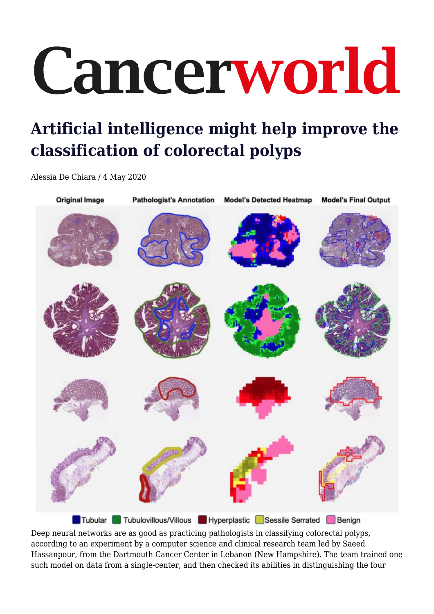## Cancerworld

## **Artificial intelligence might help improve the classification of colorectal polyps**

Alessia De Chiara / 4 May 2020



Deep neural networks are as good as practicing pathologists in classifying colorectal polyps, according to an experiment by a computer science and clinical research team led by Saeed Hassanpour, from the Dartmouth Cancer Center in Lebanon (New Hampshire). The team trained one such model on data from a single-center, and then checked its abilities in distinguishing the four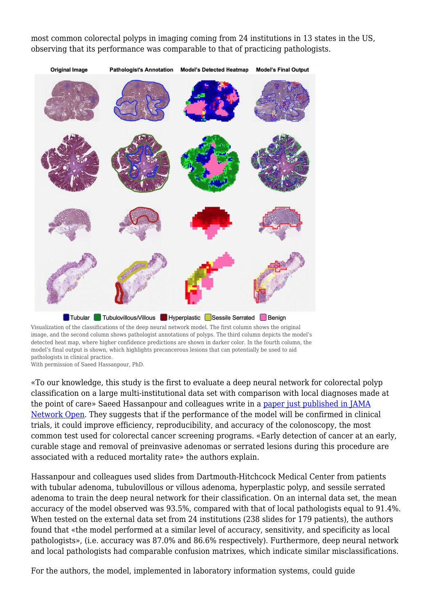most common colorectal polyps in imaging coming from 24 institutions in 13 states in the US, observing that its performance was comparable to that of practicing pathologists.



Visualization of the classifications of the deep neural network model. The first column shows the original image, and the second column shows pathologist annotations of polyps. The third column depicts the model's detected heat map, where higher confidence predictions are shown in darker color. In the fourth column, the model's final output is shown, which highlights precancerous lesions that can potentially be used to aid pathologists in clinical practice. With permission of Saeed Hassanpour, PhD.

«To our knowledge, this study is the first to evaluate a deep neural network for colorectal polyp classification on a large multi-institutional data set with comparison with local diagnoses made at the point of care» Saeed Hassanpour and colleagues write in a [paper just published in JAMA](https://doi.org/10.1001/jamanetworkopen.2020.33) [Network Open.](https://doi.org/10.1001/jamanetworkopen.2020.33) They suggests that if the performance of the model will be confirmed in clinical trials, it could improve efficiency, reproducibility, and accuracy of the colonoscopy, the most common test used for colorectal cancer screening programs. «Early detection of cancer at an early, curable stage and removal of preinvasive adenomas or serrated lesions during this procedure are associated with a reduced mortality rate» the authors explain.

Hassanpour and colleagues used slides from Dartmouth-Hitchcock Medical Center from patients with tubular adenoma, tubulovillous or villous adenoma, hyperplastic polyp, and sessile serrated adenoma to train the deep neural network for their classification. On an internal data set, the mean accuracy of the model observed was 93.5%, compared with that of local pathologists equal to 91.4%. When tested on the external data set from 24 institutions (238 slides for 179 patients), the authors found that «the model performed at a similar level of accuracy, sensitivity, and specificity as local pathologists», (i.e. accuracy was 87.0% and 86.6% respectively). Furthermore, deep neural network and local pathologists had comparable confusion matrixes, which indicate similar misclassifications.

For the authors, the model, implemented in laboratory information systems, could guide